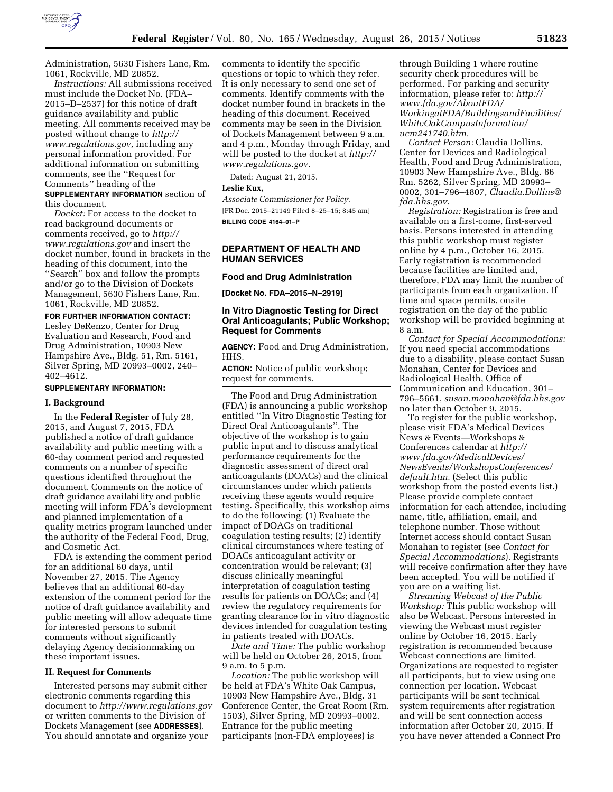

Administration, 5630 Fishers Lane, Rm. 1061, Rockville, MD 20852.

*Instructions:* All submissions received must include the Docket No. (FDA– 2015–D–2537) for this notice of draft guidance availability and public meeting. All comments received may be posted without change to *[http://](http://www.regulations.gov) [www.regulations.gov,](http://www.regulations.gov)* including any personal information provided. For additional information on submitting comments, see the ''Request for Comments'' heading of the

**SUPPLEMENTARY INFORMATION** section of this document.

*Docket:* For access to the docket to read background documents or comments received, go to *[http://](http://www.regulations.gov) [www.regulations.gov](http://www.regulations.gov)* and insert the docket number, found in brackets in the heading of this document, into the ''Search'' box and follow the prompts and/or go to the Division of Dockets Management, 5630 Fishers Lane, Rm. 1061, Rockville, MD 20852.

**FOR FURTHER INFORMATION CONTACT:** 

Lesley DeRenzo, Center for Drug Evaluation and Research, Food and Drug Administration, 10903 New Hampshire Ave., Bldg. 51, Rm. 5161, Silver Spring, MD 20993–0002, 240– 402–4612.

# **SUPPLEMENTARY INFORMATION:**

#### **I. Background**

In the **Federal Register** of July 28, 2015, and August 7, 2015, FDA published a notice of draft guidance availability and public meeting with a 60-day comment period and requested comments on a number of specific questions identified throughout the document. Comments on the notice of draft guidance availability and public meeting will inform FDA's development and planned implementation of a quality metrics program launched under the authority of the Federal Food, Drug, and Cosmetic Act.

FDA is extending the comment period for an additional 60 days, until November 27, 2015. The Agency believes that an additional 60-day extension of the comment period for the notice of draft guidance availability and public meeting will allow adequate time for interested persons to submit comments without significantly delaying Agency decisionmaking on these important issues.

#### **II. Request for Comments**

Interested persons may submit either electronic comments regarding this document to *<http://www.regulations.gov>* or written comments to the Division of Dockets Management (see **ADDRESSES**). You should annotate and organize your

comments to identify the specific questions or topic to which they refer. It is only necessary to send one set of comments. Identify comments with the docket number found in brackets in the heading of this document. Received comments may be seen in the Division of Dockets Management between 9 a.m. and 4 p.m., Monday through Friday, and will be posted to the docket at *[http://](http://www.regulations.gov) [www.regulations.gov.](http://www.regulations.gov)* 

Dated: August 21, 2015.

### **Leslie Kux,**

*Associate Commissioner for Policy.*  [FR Doc. 2015–21149 Filed 8–25–15; 8:45 am] **BILLING CODE 4164–01–P** 

**DEPARTMENT OF HEALTH AND HUMAN SERVICES** 

### **Food and Drug Administration**

**[Docket No. FDA–2015–N–2919]** 

## **In Vitro Diagnostic Testing for Direct Oral Anticoagulants; Public Workshop; Request for Comments**

**AGENCY:** Food and Drug Administration, HHS.

**ACTION:** Notice of public workshop; request for comments.

The Food and Drug Administration (FDA) is announcing a public workshop entitled ''In Vitro Diagnostic Testing for Direct Oral Anticoagulants''. The objective of the workshop is to gain public input and to discuss analytical performance requirements for the diagnostic assessment of direct oral anticoagulants (DOACs) and the clinical circumstances under which patients receiving these agents would require testing. Specifically, this workshop aims to do the following: (1) Evaluate the impact of DOACs on traditional coagulation testing results; (2) identify clinical circumstances where testing of DOACs anticoagulant activity or concentration would be relevant; (3) discuss clinically meaningful interpretation of coagulation testing results for patients on DOACs; and (4) review the regulatory requirements for granting clearance for in vitro diagnostic devices intended for coagulation testing in patients treated with DOACs.

*Date and Time:* The public workshop will be held on October 26, 2015, from 9 a.m. to 5 p.m.

*Location:* The public workshop will be held at FDA's White Oak Campus, 10903 New Hampshire Ave., Bldg. 31 Conference Center, the Great Room (Rm. 1503), Silver Spring, MD 20993–0002. Entrance for the public meeting participants (non-FDA employees) is

through Building 1 where routine security check procedures will be performed. For parking and security information, please refer to: *[http://](http://www.fda.gov/AboutFDA/WorkingatFDA/BuildingsandFacilities/WhiteOakCampusInformation/ucm241740.htm) [www.fda.gov/AboutFDA/](http://www.fda.gov/AboutFDA/WorkingatFDA/BuildingsandFacilities/WhiteOakCampusInformation/ucm241740.htm) [WorkingatFDA/BuildingsandFacilities/](http://www.fda.gov/AboutFDA/WorkingatFDA/BuildingsandFacilities/WhiteOakCampusInformation/ucm241740.htm) [WhiteOakCampusInformation/](http://www.fda.gov/AboutFDA/WorkingatFDA/BuildingsandFacilities/WhiteOakCampusInformation/ucm241740.htm) [ucm241740.htm.](http://www.fda.gov/AboutFDA/WorkingatFDA/BuildingsandFacilities/WhiteOakCampusInformation/ucm241740.htm)* 

*Contact Person:* Claudia Dollins, Center for Devices and Radiological Health, Food and Drug Administration, 10903 New Hampshire Ave., Bldg. 66 Rm. 5262, Silver Spring, MD 20993– 0002, 301–796–4807, *[Claudia.Dollins@](mailto:Claudia.Dollins@fda.hhs.gov) [fda.hhs.gov.](mailto:Claudia.Dollins@fda.hhs.gov)* 

*Registration:* Registration is free and available on a first-come, first-served basis. Persons interested in attending this public workshop must register online by 4 p.m., October 16, 2015. Early registration is recommended because facilities are limited and, therefore, FDA may limit the number of participants from each organization. If time and space permits, onsite registration on the day of the public workshop will be provided beginning at 8 a.m.

*Contact for Special Accommodations:*  If you need special accommodations due to a disability, please contact Susan Monahan, Center for Devices and Radiological Health, Office of Communication and Education, 301– 796–5661, *[susan.monahan@fda.hhs.gov](mailto:susan.monahan@fda.hhs.gov)*  no later than October 9, 2015.

To register for the public workshop, please visit FDA's Medical Devices News & Events—Workshops & Conferences calendar at *[http://](http://www.fda.gov/MedicalDevices/NewsEvents/WorkshopsConferences/default.htm) [www.fda.gov/MedicalDevices/](http://www.fda.gov/MedicalDevices/NewsEvents/WorkshopsConferences/default.htm) [NewsEvents/WorkshopsConferences/](http://www.fda.gov/MedicalDevices/NewsEvents/WorkshopsConferences/default.htm) [default.htm.](http://www.fda.gov/MedicalDevices/NewsEvents/WorkshopsConferences/default.htm)* (Select this public workshop from the posted events list.) Please provide complete contact information for each attendee, including name, title, affiliation, email, and telephone number. Those without Internet access should contact Susan Monahan to register (see *Contact for Special Accommodations*). Registrants will receive confirmation after they have been accepted. You will be notified if you are on a waiting list.

*Streaming Webcast of the Public Workshop:* This public workshop will also be Webcast. Persons interested in viewing the Webcast must register online by October 16, 2015. Early registration is recommended because Webcast connections are limited. Organizations are requested to register all participants, but to view using one connection per location. Webcast participants will be sent technical system requirements after registration and will be sent connection access information after October 20, 2015. If you have never attended a Connect Pro